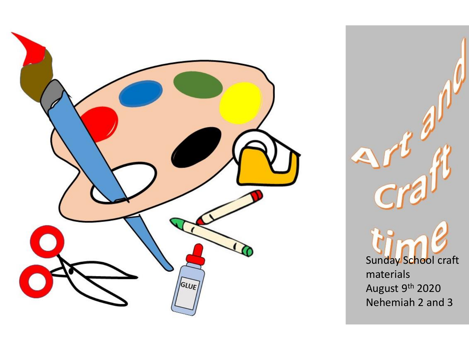

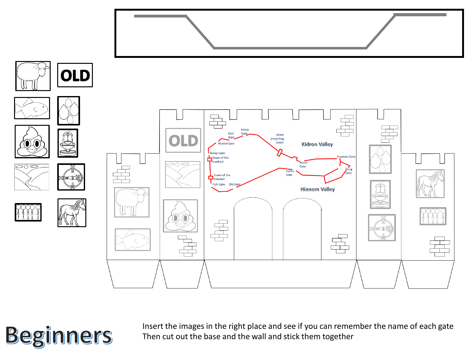

**Beginners** 

Insert the images in the right place and see if you can remember the name of each gate Then cut out the base and the wall and stick them together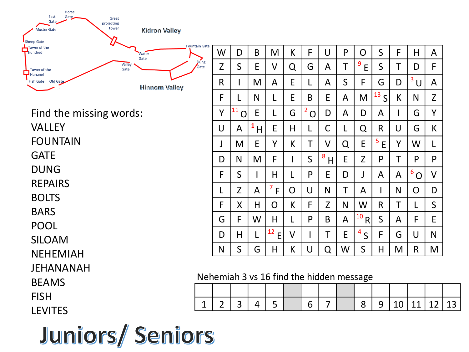| Horse<br>East<br>Gate<br>Gate<br>projecting<br><b>Muster Gate</b><br><b>Sheep Gate</b> | Great<br>tower<br><b>Kidron Valley</b> |                                          |                      |              |          |                |                     |                |             |                               |              |        |                |              |    |
|----------------------------------------------------------------------------------------|----------------------------------------|------------------------------------------|----------------------|--------------|----------|----------------|---------------------|----------------|-------------|-------------------------------|--------------|--------|----------------|--------------|----|
| Tower of the                                                                           | <b>Fountain Gate</b><br>Water          | W                                        | D                    | B            | M        | K              | F                   | U              | P           | $\overline{O}$                | $\mathsf S$  | F      | H              | A            |    |
| Tower of the                                                                           | Gate<br>Dung<br>Valley<br>Gate<br>Gate | Z                                        | S                    | E            | V        | Q              | G                   | A              | Τ           | 9<br>E                        | S            | Τ      | D              | F            |    |
| $\Box$ Hananel<br>Fish Gate Old Gate                                                   | <b>Hinnom Valley</b>                   | R                                        |                      | M            | A        | E              |                     | A              | $\mathsf S$ | F                             | G            | D      | 3<br>$\cup$    | A            |    |
|                                                                                        |                                        | F                                        |                      | $\mathsf{N}$ |          | E              | B                   | E              | A           | M                             | 13S          | K      | N              | Z            |    |
| Find the missing words:                                                                |                                        | Y                                        | 11<br>$\overline{O}$ | E            | L        | G              | 2<br>$\overline{O}$ | D              | A           | D                             | A            |        | G              | Y            |    |
| <b>VALLEY</b>                                                                          |                                        | U                                        | A                    | 1<br>H       | E        | H              | L                   | С              | L           | Q                             | R            | $\cup$ | G              | K            |    |
| <b>FOUNTAIN</b>                                                                        |                                        | J                                        | M                    | E            | Y        | K.             | T                   | V              | Q           | $\mathsf E$                   | 5<br>E       | Y      | W              | L            |    |
| <b>GATE</b>                                                                            |                                        | D                                        | N                    | M            | F        |                | $\mathsf{S}$        | 8<br>H         | E           | Z                             | P            | T      | P              | P            |    |
| <b>DUNG</b>                                                                            |                                        | F                                        | S                    |              | H        |                | P                   | E              | D           |                               | A            | A      | $6^{\circ}$ O  | $\vee$       |    |
| <b>REPAIRS</b>                                                                         |                                        |                                          | Z                    | $\mathsf{A}$ | 7<br>F   | $\overline{O}$ | U                   | N              | T           | A                             |              | N      | $\overline{O}$ | D            |    |
| <b>BOLTS</b>                                                                           |                                        | F                                        | X                    | H            | $\Omega$ | K.             | F                   | Z              | N           | W                             | R            | Τ      | L              | $\mathsf{S}$ |    |
| <b>BARS</b>                                                                            |                                        | G                                        | F                    | W            | H        |                | P                   | B              | A           | 10<br>$\overline{\mathsf{R}}$ | $\mathsf{S}$ | A      | F              | E            |    |
| <b>POOL</b>                                                                            |                                        | D                                        | H                    |              | 12<br>E  | V              |                     | Τ              | E           | 4<br>$\overline{S}$           | F            | G      | U              | N            |    |
| <b>SILOAM</b>                                                                          |                                        | N                                        | S                    | G            | H        | K              | $\cup$              | Q              | W           | $\mathsf S$                   | H            | M      | $\mathsf{R}$   | M            |    |
| <b>NEHEMIAH</b><br>JEHANANAH                                                           |                                        |                                          |                      |              |          |                |                     |                |             |                               |              |        |                |              |    |
| <b>BEAMS</b>                                                                           |                                        | Nehemiah 3 vs 16 find the hidden message |                      |              |          |                |                     |                |             |                               |              |        |                |              |    |
| <b>FISH</b>                                                                            |                                        |                                          |                      |              |          |                |                     |                |             |                               |              |        |                |              |    |
| <b>LEVITES</b>                                                                         |                                        | $\overline{2}$<br>1                      | 3                    | 4            | 5        |                | 6                   | $\overline{7}$ |             | 8                             | 9            | 10     | 11             | 12           | 13 |
|                                                                                        |                                        |                                          |                      |              |          |                |                     |                |             |                               |              |        |                |              |    |
| Juniors/Seniors                                                                        |                                        |                                          |                      |              |          |                |                     |                |             |                               |              |        |                |              |    |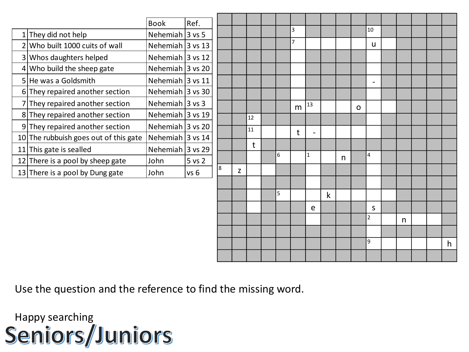| Ref.<br><b>Book</b><br>3<br>10<br>Nehemiah $3$ vs 5<br>$1$ They did not help<br>$\overline{7}$<br>$2$ Who built 1000 cuits of wall<br>Nehemiah $3$ vs 13<br>u |   |
|---------------------------------------------------------------------------------------------------------------------------------------------------------------|---|
|                                                                                                                                                               |   |
|                                                                                                                                                               |   |
|                                                                                                                                                               |   |
| Nehemiah $ 3 \text{ vs } 12$<br>3 Whos daughters helped                                                                                                       |   |
| Nehemiah $3$ vs 20<br>$4$ Who build the sheep gate                                                                                                            |   |
| Nehemiah $3$ vs 11<br>5 He was a Goldsmith<br>$\overline{\phantom{a}}$                                                                                        |   |
| Nehemiah $3$ vs 30<br>$6$ They repaired another section                                                                                                       |   |
| Nehemiah $ 3 \text{ vs } 3 $<br>7 They repaired another section<br>13<br>m<br>$\Omega$                                                                        |   |
| Nehemiah $ 3 \text{ vs } 19$<br>8 They repaired another section<br>12                                                                                         |   |
| Nehemiah 3 vs 20<br>9 They repaired another section<br>11<br>$\mathsf{t}$                                                                                     |   |
| Nehemiah $ 3$ vs 14<br>10 The rubbuish goes out of this gate                                                                                                  |   |
| t<br>Nehemiah $ 3 \text{ vs } 29$<br>11 This gate is sealled<br>6<br>4                                                                                        |   |
| 1<br>n<br>12 There is a pool by sheep gate<br>5 vs 2<br>John                                                                                                  |   |
| 8<br>Z<br>13 There is a pool by Dung gate<br>John<br>vs <sub>6</sub>                                                                                          |   |
|                                                                                                                                                               |   |
| 5<br>$\mathsf k$                                                                                                                                              |   |
| S<br>e                                                                                                                                                        |   |
| $\overline{2}$<br>n                                                                                                                                           |   |
|                                                                                                                                                               |   |
| 9                                                                                                                                                             | h |
|                                                                                                                                                               |   |

Use the question and the reference to find the missing word.

Happy searching<br>Seniors/Juniors